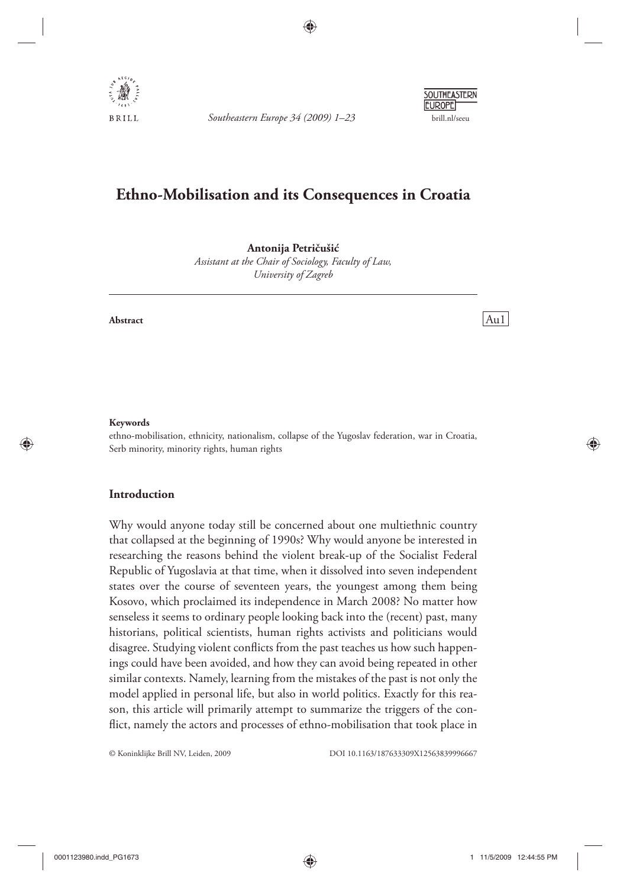

*Southeastern Europe 34 (2009) 1–23*

# **Ethno-Mobilisation and its Consequences in Croatia**

 **Antonija Petričušić** 

 *Assistant at the Chair of Sociology, Faculty of Law, University of Zagreb* 

 **Abstract** 

#### **Keywords**

◈

ethno-mobilisation, ethnicity, nationalism, collapse of the Yugoslav federation, war in Croatia, Serb minority, minority rights, human rights

## **Introduction**

 Why would anyone today still be concerned about one multiethnic country that collapsed at the beginning of 1990s? Why would anyone be interested in researching the reasons behind the violent break-up of the Socialist Federal Republic of Yugoslavia at that time, when it dissolved into seven independent states over the course of seventeen years, the youngest among them being Kosovo, which proclaimed its independence in March 2008? No matter how senseless it seems to ordinary people looking back into the (recent) past, many historians, political scientists, human rights activists and politicians would disagree. Studying violent conflicts from the past teaches us how such happenings could have been avoided, and how they can avoid being repeated in other similar contexts. Namely, learning from the mistakes of the past is not only the model applied in personal life, but also in world politics. Exactly for this reason, this article will primarily attempt to summarize the triggers of the conflict, namely the actors and processes of ethno-mobilisation that took place in

© Koninklijke Brill NV, Leiden, 2009 DOI 10.1163/187633309X12563839996667



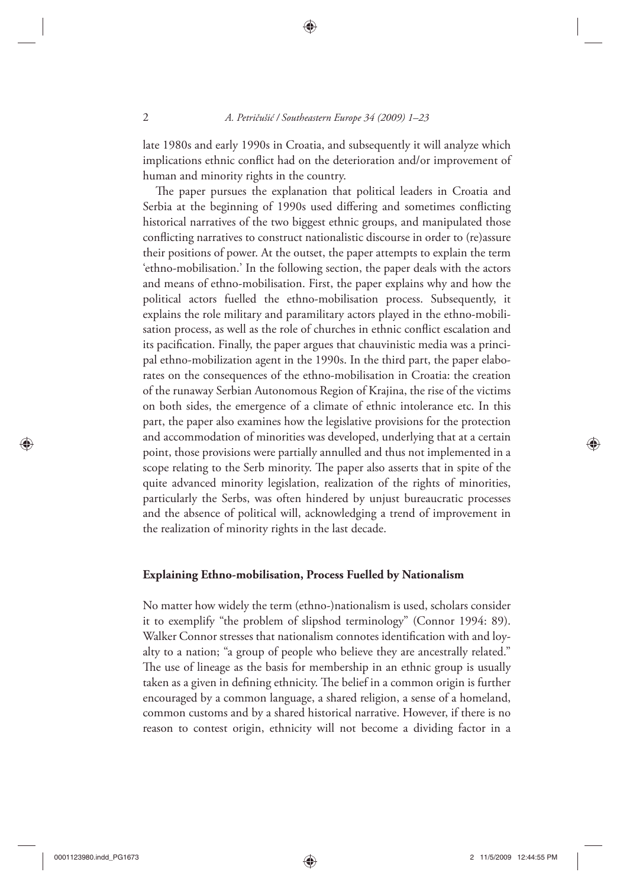⊕

late 1980s and early 1990s in Croatia, and subsequently it will analyze which implications ethnic conflict had on the deterioration and/or improvement of human and minority rights in the country.

The paper pursues the explanation that political leaders in Croatia and Serbia at the beginning of 1990s used differing and sometimes conflicting historical narratives of the two biggest ethnic groups, and manipulated those conflicting narratives to construct nationalistic discourse in order to (re)assure their positions of power. At the outset, the paper attempts to explain the term 'ethno-mobilisation.' In the following section, the paper deals with the actors and means of ethno-mobilisation. First, the paper explains why and how the political actors fuelled the ethno-mobilisation process. Subsequently, it explains the role military and paramilitary actors played in the ethno-mobilisation process, as well as the role of churches in ethnic conflict escalation and its pacification. Finally, the paper argues that chauvinistic media was a principal ethno-mobilization agent in the 1990s. In the third part, the paper elaborates on the consequences of the ethno-mobilisation in Croatia: the creation of the runaway Serbian Autonomous Region of Krajina, the rise of the victims on both sides, the emergence of a climate of ethnic intolerance etc. In this part, the paper also examines how the legislative provisions for the protection and accommodation of minorities was developed, underlying that at a certain point, those provisions were partially annulled and thus not implemented in a scope relating to the Serb minority. The paper also asserts that in spite of the quite advanced minority legislation, realization of the rights of minorities, particularly the Serbs, was often hindered by unjust bureaucratic processes and the absence of political will, acknowledging a trend of improvement in the realization of minority rights in the last decade.

#### **Explaining Ethno-mobilisation, Process Fuelled by Nationalism**

 No matter how widely the term (ethno-)nationalism is used, scholars consider it to exemplify "the problem of slipshod terminology" (Connor 1994: 89). Walker Connor stresses that nationalism connotes identification with and loyalty to a nation; "a group of people who believe they are ancestrally related." The use of lineage as the basis for membership in an ethnic group is usually taken as a given in defining ethnicity. The belief in a common origin is further encouraged by a common language, a shared religion, a sense of a homeland, common customs and by a shared historical narrative. However, if there is no reason to contest origin, ethnicity will not become a dividing factor in a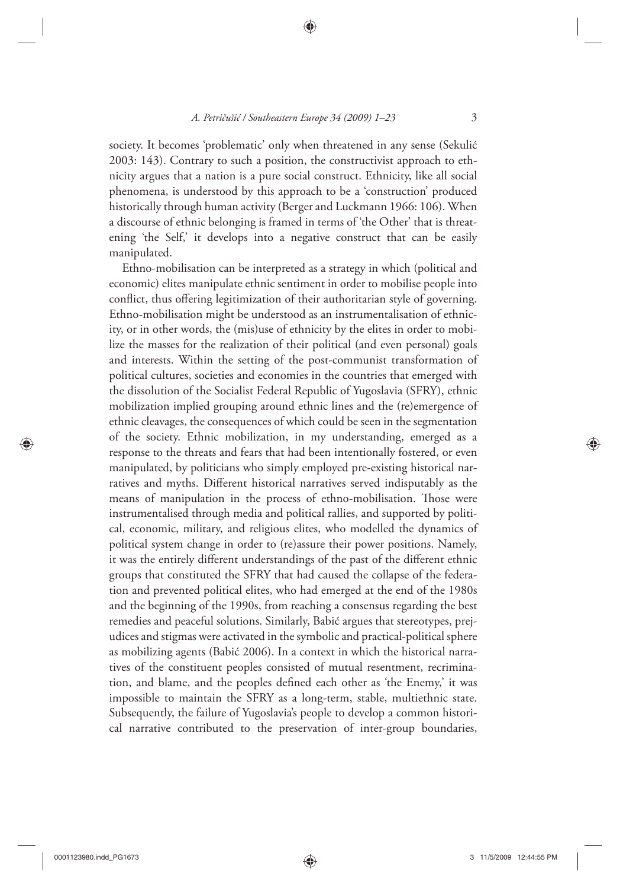society. It becomes 'problematic' only when threatened in any sense (Sekulić 2003: 143). Contrary to such a position, the constructivist approach to ethnicity argues that a nation is a pure social construct. Ethnicity, like all social phenomena, is understood by this approach to be a 'construction' produced historically through human activity (Berger and Luckmann 1966: 106). When a discourse of ethnic belonging is framed in terms of 'the Other' that is threatening 'the Self,' it develops into a negative construct that can be easily manipulated.

 Ethno-mobilisation can be interpreted as a strategy in which (political and economic) elites manipulate ethnic sentiment in order to mobilise people into conflict, thus offering legitimization of their authoritarian style of governing. Ethno-mobilisation might be understood as an instrumentalisation of ethnicity, or in other words, the (mis)use of ethnicity by the elites in order to mobilize the masses for the realization of their political (and even personal) goals and interests. Within the setting of the post-communist transformation of political cultures, societies and economies in the countries that emerged with the dissolution of the Socialist Federal Republic of Yugoslavia (SFRY), ethnic mobilization implied grouping around ethnic lines and the (re)emergence of ethnic cleavages, the consequences of which could be seen in the segmentation of the society. Ethnic mobilization, in my understanding, emerged as a response to the threats and fears that had been intentionally fostered, or even manipulated, by politicians who simply employed pre-existing historical narratives and myths. Different historical narratives served indisputably as the means of manipulation in the process of ethno-mobilisation. Those were instrumentalised through media and political rallies, and supported by political, economic, military, and religious elites, who modelled the dynamics of political system change in order to (re)assure their power positions. Namely, it was the entirely different understandings of the past of the different ethnic groups that constituted the SFRY that had caused the collapse of the federation and prevented political elites, who had emerged at the end of the 1980s and the beginning of the 1990s, from reaching a consensus regarding the best remedies and peaceful solutions. Similarly, Babić argues that stereotypes, prejudices and stigmas were activated in the symbolic and practical-political sphere as mobilizing agents (Babić 2006). In a context in which the historical narratives of the constituent peoples consisted of mutual resentment, recrimination, and blame, and the peoples defined each other as 'the Enemy,' it was impossible to maintain the SFRY as a long-term, stable, multiethnic state. Subsequently, the failure of Yugoslavia's people to develop a common historical narrative contributed to the preservation of inter-group boundaries,

◈

⊕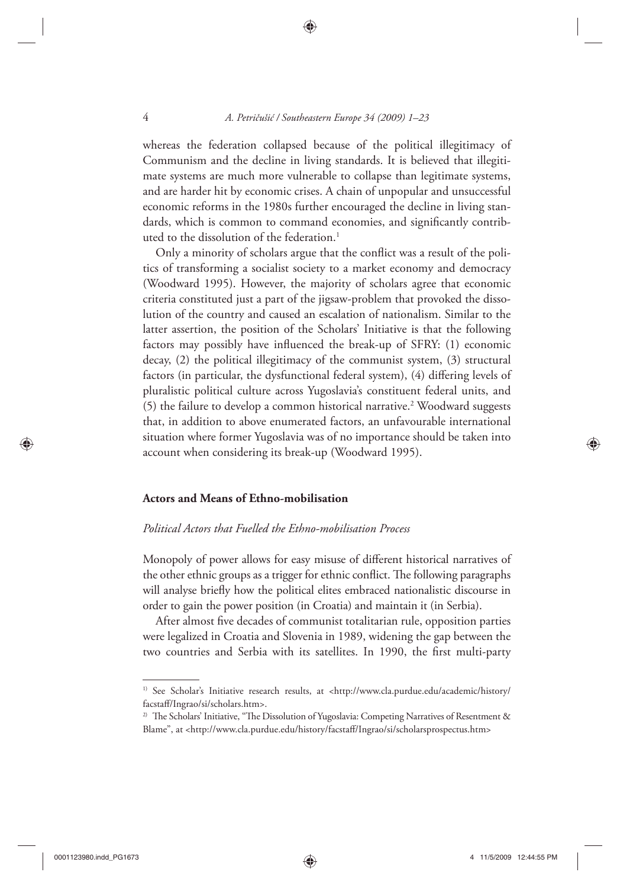⊕

whereas the federation collapsed because of the political illegitimacy of Communism and the decline in living standards. It is believed that illegitimate systems are much more vulnerable to collapse than legitimate systems, and are harder hit by economic crises. A chain of unpopular and unsuccessful economic reforms in the 1980s further encouraged the decline in living standards, which is common to command economies, and significantly contributed to the dissolution of the federation.<sup>1</sup>

Only a minority of scholars argue that the conflict was a result of the politics of transforming a socialist society to a market economy and democracy (Woodward 1995). However, the majority of scholars agree that economic criteria constituted just a part of the jigsaw-problem that provoked the dissolution of the country and caused an escalation of nationalism. Similar to the latter assertion, the position of the Scholars' Initiative is that the following factors may possibly have influenced the break-up of SFRY: (1) economic decay, (2) the political illegitimacy of the communist system, (3) structural factors (in particular, the dysfunctional federal system), (4) differing levels of pluralistic political culture across Yugoslavia's constituent federal units, and (5) the failure to develop a common historical narrative. 2 Woodward suggests that, in addition to above enumerated factors, an unfavourable international situation where former Yugoslavia was of no importance should be taken into account when considering its break-up (Woodward 1995).

## **Actors and Means of Ethno-mobilisation**

## *Political Actors that Fuelled the Ethno-mobilisation Process*

Monopoly of power allows for easy misuse of different historical narratives of the other ethnic groups as a trigger for ethnic conflict. The following paragraphs will analyse briefly how the political elites embraced nationalistic discourse in order to gain the power position (in Croatia) and maintain it (in Serbia).

After almost five decades of communist totalitarian rule, opposition parties were legalized in Croatia and Slovenia in 1989, widening the gap between the two countries and Serbia with its satellites. In 1990, the first multi-party

◈

 <sup>1)</sup> See Scholar's Initiative research results, at < http://www.cla.purdue.edu/academic/history/ facstaff/Ingrao/si/scholars.htm>.<br><sup>2)</sup> The Scholars' Initiative, "The Dissolution of Yugoslavia: Competing Narratives of Resentment &

Blame", at <http://www.cla.purdue.edu/history/facstaff/Ingrao/si/scholarsprospectus.htm>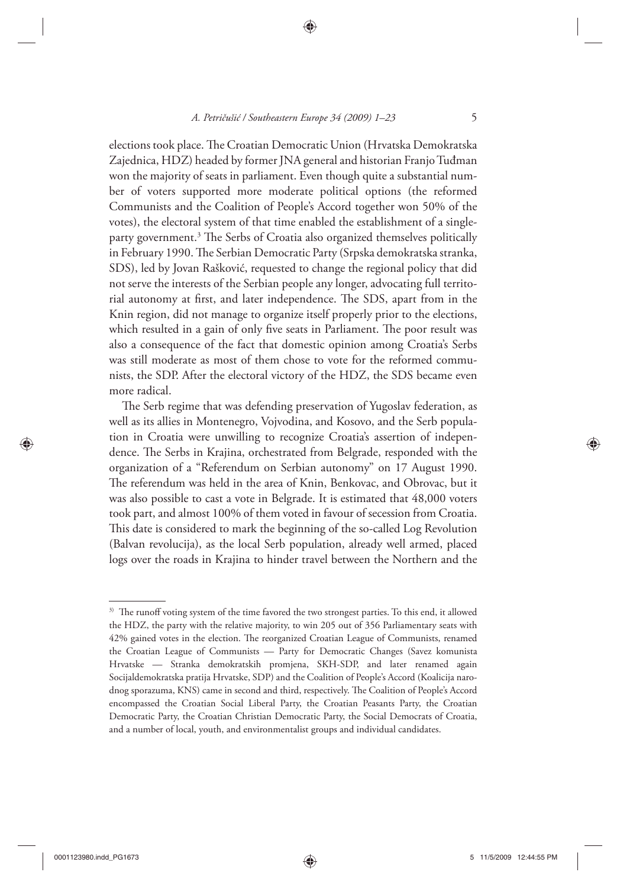⊕

elections took place. The Croatian Democratic Union (Hrvatska Demokratska Zajednica, HDZ) headed by former JNA general and historian Franjo Tuđman won the majority of seats in parliament. Even though quite a substantial number of voters supported more moderate political options (the reformed Communists and the Coalition of People's Accord together won 50% of the votes), the electoral system of that time enabled the establishment of a singleparty government.<sup>3</sup> The Serbs of Croatia also organized themselves politically in February 1990. The Serbian Democratic Party (Srpska demokratska stranka, SDS), led by Jovan Rašković, requested to change the regional policy that did not serve the interests of the Serbian people any longer, advocating full territorial autonomy at first, and later independence. The SDS, apart from in the Knin region, did not manage to organize itself properly prior to the elections, which resulted in a gain of only five seats in Parliament. The poor result was also a consequence of the fact that domestic opinion among Croatia's Serbs was still moderate as most of them chose to vote for the reformed communists, the SDP. After the electoral victory of the HDZ, the SDS became even more radical.

The Serb regime that was defending preservation of Yugoslav federation, as well as its allies in Montenegro, Vojvodina, and Kosovo, and the Serb population in Croatia were unwilling to recognize Croatia's assertion of independence. The Serbs in Krajina, orchestrated from Belgrade, responded with the organization of a "Referendum on Serbian autonomy" on 17 August 1990. The referendum was held in the area of Knin, Benkovac, and Obrovac, but it was also possible to cast a vote in Belgrade. It is estimated that 48,000 voters took part, and almost 100% of them voted in favour of secession from Croatia. This date is considered to mark the beginning of the so-called Log Revolution (Balvan revolucija), as the local Serb population, already well armed, placed logs over the roads in Krajina to hinder travel between the Northern and the

◈

0001123980.indd\_PG1673 5 11/5/2009 12:44:55 PM

<sup>&</sup>lt;sup>3)</sup> The runoff voting system of the time favored the two strongest parties. To this end, it allowed the HDZ, the party with the relative majority, to win 205 out of 356 Parliamentary seats with 42% gained votes in the election. The reorganized Croatian League of Communists, renamed the Croatian League of Communists — Party for Democratic Changes (Savez komunista Hrvatske — Stranka demokratskih promjena, SKH-SDP, and later renamed again Socijaldemokratska pratija Hrvatske, SDP) and the Coalition of People's Accord (Koalicija narodnog sporazuma, KNS) came in second and third, respectively. The Coalition of People's Accord encompassed the Croatian Social Liberal Party, the Croatian Peasants Party, the Croatian Democratic Party, the Croatian Christian Democratic Party, the Social Democrats of Croatia, and a number of local, youth, and environmentalist groups and individual candidates.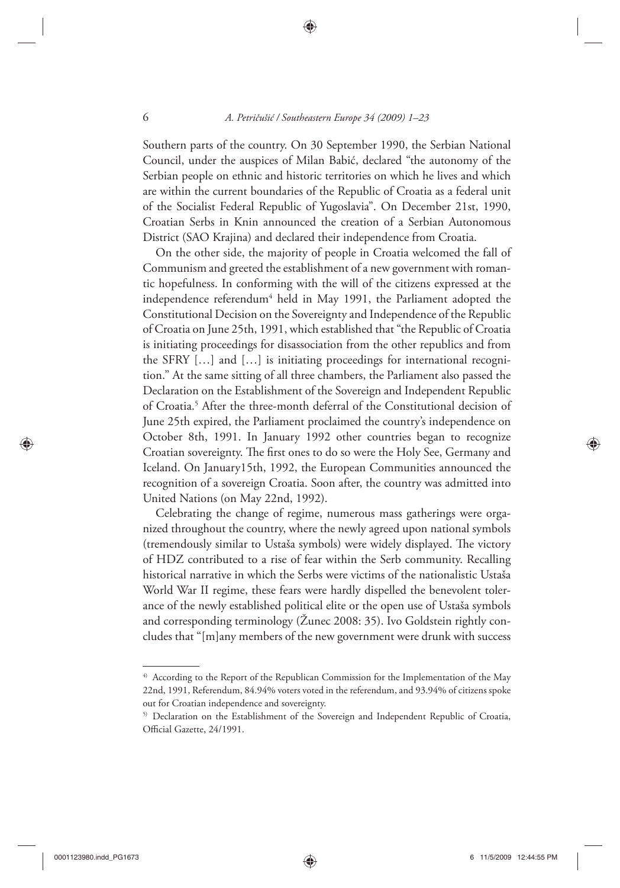⊕

Southern parts of the country. On 30 September 1990, the Serbian National Council, under the auspices of Milan Babić, declared "the autonomy of the Serbian people on ethnic and historic territories on which he lives and which are within the current boundaries of the Republic of Croatia as a federal unit of the Socialist Federal Republic of Yugoslavia". On December 21st, 1990, Croatian Serbs in Knin announced the creation of a Serbian Autonomous District (SAO Krajina) and declared their independence from Croatia.

 On the other side, the majority of people in Croatia welcomed the fall of Communism and greeted the establishment of a new government with romantic hopefulness. In conforming with the will of the citizens expressed at the independence referendum<sup>4</sup> held in May 1991, the Parliament adopted the Constitutional Decision on the Sovereignty and Independence of the Republic of Croatia on June 25th, 1991, which established that "the Republic of Croatia is initiating proceedings for disassociation from the other republics and from the SFRY […] and […] is initiating proceedings for international recognition." At the same sitting of all three chambers, the Parliament also passed the Declaration on the Establishment of the Sovereign and Independent Republic of Croatia.<sup>5</sup> After the three-month deferral of the Constitutional decision of June 25th expired, the Parliament proclaimed the country's independence on October 8th, 1991. In January 1992 other countries began to recognize Croatian sovereignty. The first ones to do so were the Holy See, Germany and Iceland. On January15th, 1992, the European Communities announced the recognition of a sovereign Croatia. Soon after, the country was admitted into United Nations (on May 22nd, 1992).

 Celebrating the change of regime, numerous mass gatherings were organized throughout the country, where the newly agreed upon national symbols (tremendously similar to Ustaša symbols) were widely displayed. The victory of HDZ contributed to a rise of fear within the Serb community. Recalling historical narrative in which the Serbs were victims of the nationalistic Ustaša World War II regime, these fears were hardly dispelled the benevolent tolerance of the newly established political elite or the open use of Ustaša symbols and corresponding terminology (Žunec 2008: 35). Ivo Goldstein rightly concludes that "[m]any members of the new government were drunk with success

<sup>&</sup>lt;sup>4)</sup> According to the Report of the Republican Commission for the Implementation of the May 22nd, 1991, Referendum, 84.94% voters voted in the referendum, and 93.94% of citizens spoke out for Croatian independence and sovereignty.

 <sup>5)</sup> Declaration on the Establishment of the Sovereign and Independent Republic of Croatia, Official Gazette, 24/1991.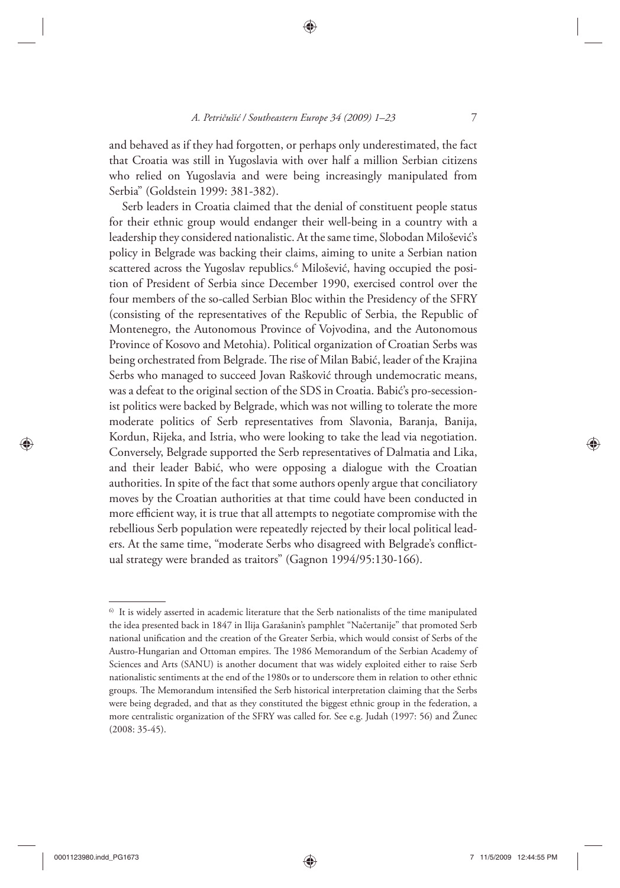and behaved as if they had forgotten, or perhaps only underestimated, the fact that Croatia was still in Yugoslavia with over half a million Serbian citizens who relied on Yugoslavia and were being increasingly manipulated from Serbia" (Goldstein 1999: 381-382).

 Serb leaders in Croatia claimed that the denial of constituent people status for their ethnic group would endanger their well-being in a country with a leadership they considered nationalistic. At the same time, Slobodan Milošević's policy in Belgrade was backing their claims, aiming to unite a Serbian nation scattered across the Yugoslav republics. 6 Milošević, having occupied the position of President of Serbia since December 1990, exercised control over the four members of the so-called Serbian Bloc within the Presidency of the SFRY (consisting of the representatives of the Republic of Serbia, the Republic of Montenegro, the Autonomous Province of Vojvodina, and the Autonomous Province of Kosovo and Metohia). Political organization of Croatian Serbs was being orchestrated from Belgrade. The rise of Milan Babić, leader of the Krajina Serbs who managed to succeed Jovan Rašković through undemocratic means, was a defeat to the original section of the SDS in Croatia. Babić's pro-secessionist politics were backed by Belgrade, which was not willing to tolerate the more moderate politics of Serb representatives from Slavonia, Baranja, Banija, Kordun, Rijeka, and Istria, who were looking to take the lead via negotiation. Conversely, Belgrade supported the Serb representatives of Dalmatia and Lika, and their leader Babić, who were opposing a dialogue with the Croatian authorities. In spite of the fact that some authors openly argue that conciliatory moves by the Croatian authorities at that time could have been conducted in more efficient way, it is true that all attempts to negotiate compromise with the rebellious Serb population were repeatedly rejected by their local political leaders. At the same time, "moderate Serbs who disagreed with Belgrade's conflictual strategy were branded as traitors" (Gagnon 1994/95:130-166).

<sup>&</sup>lt;sup>6)</sup> It is widely asserted in academic literature that the Serb nationalists of the time manipulated the idea presented back in 1847 in Ilija Garašanin's pamphlet "Načertanije" that promoted Serb national unification and the creation of the Greater Serbia, which would consist of Serbs of the Austro-Hungarian and Ottoman empires. The 1986 Memorandum of the Serbian Academy of Sciences and Arts (SANU) is another document that was widely exploited either to raise Serb nationalistic sentiments at the end of the 1980s or to underscore them in relation to other ethnic groups. The Memorandum intensified the Serb historical interpretation claiming that the Serbs were being degraded, and that as they constituted the biggest ethnic group in the federation, a more centralistic organization of the SFRY was called for. See e.g. Judah (1997: 56) and Žunec (2008: 35-45).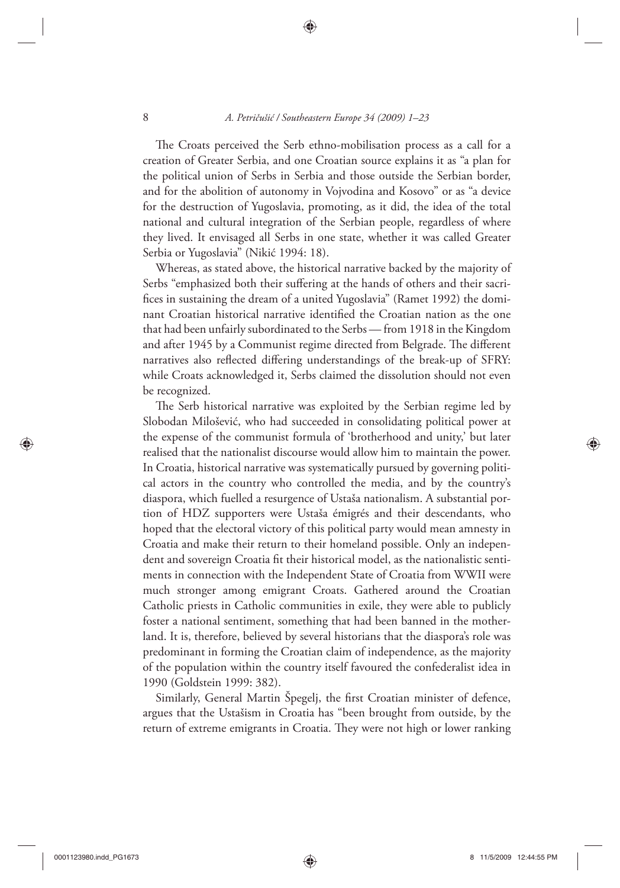⊕

The Croats perceived the Serb ethno-mobilisation process as a call for a creation of Greater Serbia, and one Croatian source explains it as "a plan for the political union of Serbs in Serbia and those outside the Serbian border, and for the abolition of autonomy in Vojvodina and Kosovo" or as "a device for the destruction of Yugoslavia, promoting, as it did, the idea of the total national and cultural integration of the Serbian people, regardless of where they lived. It envisaged all Serbs in one state, whether it was called Greater Serbia or Yugoslavia" (Nikić 1994: 18).

 Whereas, as stated above, the historical narrative backed by the majority of Serbs "emphasized both their suffering at the hands of others and their sacrifices in sustaining the dream of a united Yugoslavia" (Ramet 1992) the dominant Croatian historical narrative identified the Croatian nation as the one that had been unfairly subordinated to the Serbs — from 1918 in the Kingdom and after 1945 by a Communist regime directed from Belgrade. The different narratives also reflected differing understandings of the break-up of SFRY: while Croats acknowledged it, Serbs claimed the dissolution should not even be recognized.

The Serb historical narrative was exploited by the Serbian regime led by Slobodan Milošević, who had succeeded in consolidating political power at the expense of the communist formula of 'brotherhood and unity,' but later realised that the nationalist discourse would allow him to maintain the power. In Croatia, historical narrative was systematically pursued by governing political actors in the country who controlled the media, and by the country's diaspora, which fuelled a resurgence of Ustaša nationalism. A substantial portion of HDZ supporters were Ustaša émigrés and their descendants, who hoped that the electoral victory of this political party would mean amnesty in Croatia and make their return to their homeland possible. Only an independent and sovereign Croatia fit their historical model, as the nationalistic sentiments in connection with the Independent State of Croatia from WWII were much stronger among emigrant Croats. Gathered around the Croatian Catholic priests in Catholic communities in exile, they were able to publicly foster a national sentiment, something that had been banned in the motherland. It is, therefore, believed by several historians that the diaspora's role was predominant in forming the Croatian claim of independence, as the majority of the population within the country itself favoured the confederalist idea in 1990 (Goldstein 1999: 382).

Similarly, General Martin Špegelj, the first Croatian minister of defence, argues that the Ustašism in Croatia has "been brought from outside, by the return of extreme emigrants in Croatia. They were not high or lower ranking

◈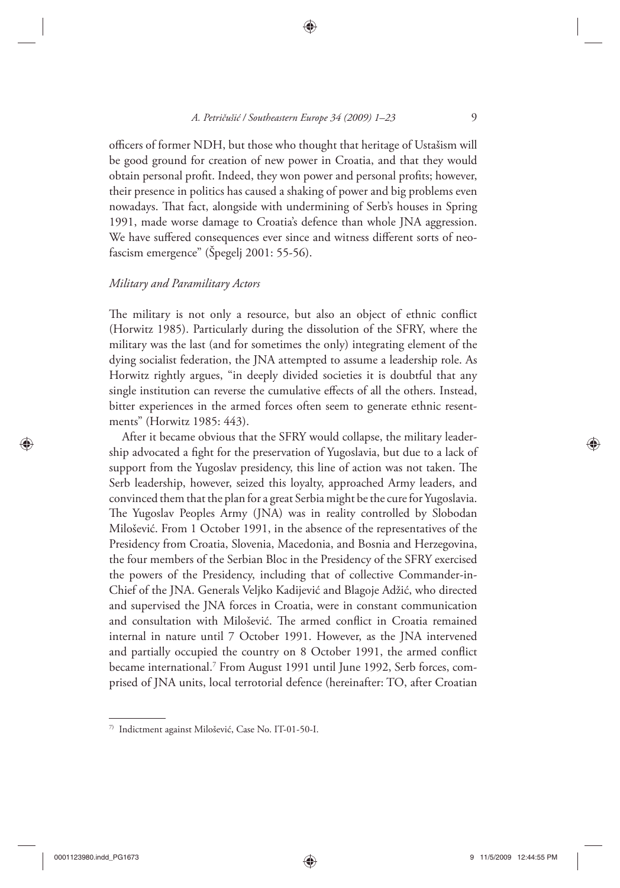officers of former NDH, but those who thought that heritage of Ustašism will be good ground for creation of new power in Croatia, and that they would obtain personal profit. Indeed, they won power and personal profits; however, their presence in politics has caused a shaking of power and big problems even nowadays. That fact, alongside with undermining of Serb's houses in Spring 1991, made worse damage to Croatia's defence than whole JNA aggression. We have suffered consequences ever since and witness different sorts of neofascism emergence" (Špegelj 2001: 55-56).

#### *Military and Paramilitary Actors*

The military is not only a resource, but also an object of ethnic conflict (Horwitz 1985). Particularly during the dissolution of the SFRY, where the military was the last (and for sometimes the only) integrating element of the dying socialist federation, the JNA attempted to assume a leadership role. As Horwitz rightly argues, "in deeply divided societies it is doubtful that any single institution can reverse the cumulative effects of all the others. Instead, bitter experiences in the armed forces often seem to generate ethnic resentments" (Horwitz 1985: 443).

 After it became obvious that the SFRY would collapse, the military leadership advocated a fight for the preservation of Yugoslavia, but due to a lack of support from the Yugoslav presidency, this line of action was not taken. The Serb leadership, however, seized this loyalty, approached Army leaders, and convinced them that the plan for a great Serbia might be the cure for Yugoslavia. The Yugoslav Peoples Army (JNA) was in reality controlled by Slobodan Milošević. From 1 October 1991, in the absence of the representatives of the Presidency from Croatia, Slovenia, Macedonia, and Bosnia and Herzegovina, the four members of the Serbian Bloc in the Presidency of the SFRY exercised the powers of the Presidency, including that of collective Commander-in-Chief of the JNA. Generals Veljko Kadijević and Blagoje Adžić, who directed and supervised the JNA forces in Croatia, were in constant communication and consultation with Milošević. The armed conflict in Croatia remained internal in nature until 7 October 1991. However, as the JNA intervened and partially occupied the country on 8 October 1991, the armed conflict became international.<sup>7</sup> From August 1991 until June 1992, Serb forces, comprised of JNA units, local terrotorial defence (hereinafter: TO, after Croatian

◈

 <sup>7)</sup> Indictment against Milošević, Case No. IT-01-50-I.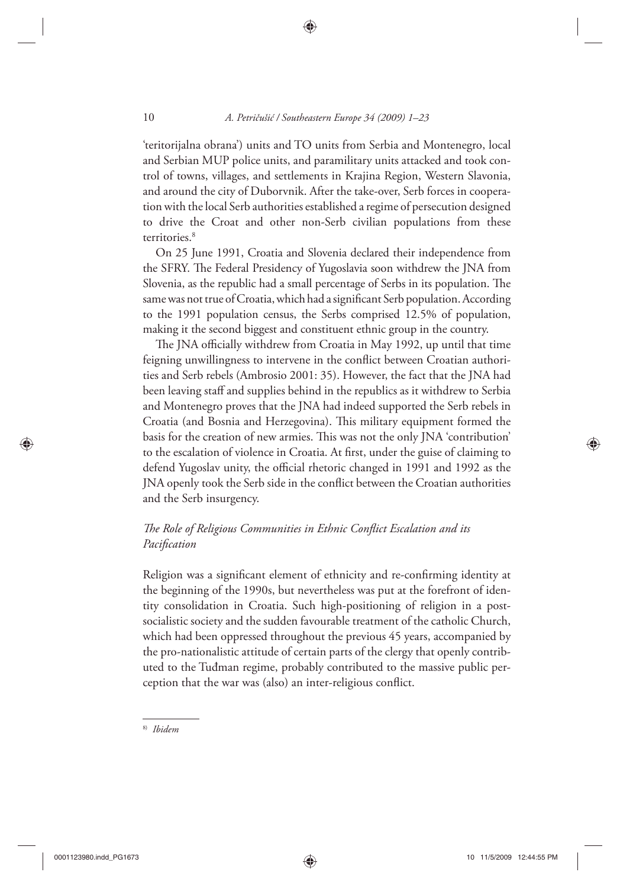⊕

'teritorijalna obrana') units and TO units from Serbia and Montenegro, local and Serbian MUP police units, and paramilitary units attacked and took control of towns, villages, and settlements in Krajina Region, Western Slavonia, and around the city of Duborvnik. After the take-over, Serb forces in cooperation with the local Serb authorities established a regime of persecution designed to drive the Croat and other non-Serb civilian populations from these territories. 8

 On 25 June 1991, Croatia and Slovenia declared their independence from the SFRY. The Federal Presidency of Yugoslavia soon withdrew the JNA from Slovenia, as the republic had a small percentage of Serbs in its population. The same was not true of Croatia, which had a significant Serb population. According to the 1991 population census, the Serbs comprised 12.5% of population, making it the second biggest and constituent ethnic group in the country.

The JNA officially withdrew from Croatia in May 1992, up until that time feigning unwillingness to intervene in the conflict between Croatian authorities and Serb rebels (Ambrosio 2001: 35). However, the fact that the JNA had been leaving staff and supplies behind in the republics as it withdrew to Serbia and Montenegro proves that the JNA had indeed supported the Serb rebels in Croatia (and Bosnia and Herzegovina). This military equipment formed the basis for the creation of new armies. This was not the only JNA 'contribution' to the escalation of violence in Croatia. At first, under the guise of claiming to defend Yugoslav unity, the official rhetoric changed in 1991 and 1992 as the JNA openly took the Serb side in the conflict between the Croatian authorities and the Serb insurgency.

## The Role of Religious Communities in Ethnic Conflict Escalation and its *Pacifi cation*

Religion was a significant element of ethnicity and re-confirming identity at the beginning of the 1990s, but nevertheless was put at the forefront of identity consolidation in Croatia. Such high-positioning of religion in a postsocialistic society and the sudden favourable treatment of the catholic Church, which had been oppressed throughout the previous 45 years, accompanied by the pro-nationalistic attitude of certain parts of the clergy that openly contributed to the Tuđman regime, probably contributed to the massive public perception that the war was (also) an inter-religious conflict.

8) *Ibidem*

◈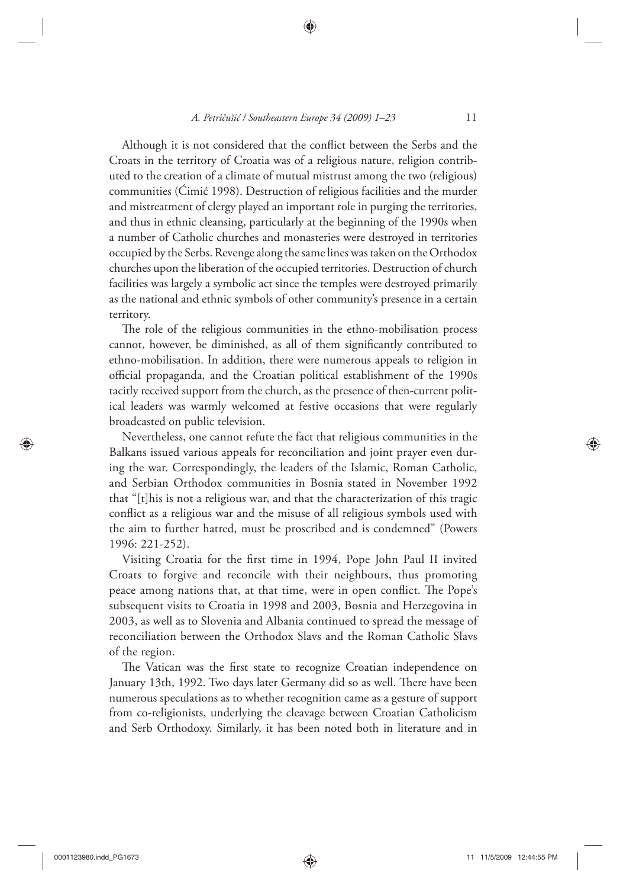Although it is not considered that the conflict between the Serbs and the Croats in the territory of Croatia was of a religious nature, religion contributed to the creation of a climate of mutual mistrust among the two (religious) communities (Ćimić 1998). Destruction of religious facilities and the murder and mistreatment of clergy played an important role in purging the territories, and thus in ethnic cleansing, particularly at the beginning of the 1990s when a number of Catholic churches and monasteries were destroyed in territories occupied by the Serbs. Revenge along the same lines was taken on the Orthodox churches upon the liberation of the occupied territories. Destruction of church facilities was largely a symbolic act since the temples were destroyed primarily as the national and ethnic symbols of other community's presence in a certain territory.

The role of the religious communities in the ethno-mobilisation process cannot, however, be diminished, as all of them significantly contributed to ethno-mobilisation. In addition, there were numerous appeals to religion in official propaganda, and the Croatian political establishment of the 1990s tacitly received support from the church, as the presence of then-current political leaders was warmly welcomed at festive occasions that were regularly broadcasted on public television.

 Nevertheless, one cannot refute the fact that religious communities in the Balkans issued various appeals for reconciliation and joint prayer even during the war. Correspondingly, the leaders of the Islamic, Roman Catholic, and Serbian Orthodox communities in Bosnia stated in November 1992 that "[t]his is not a religious war, and that the characterization of this tragic conflict as a religious war and the misuse of all religious symbols used with the aim to further hatred, must be proscribed and is condemned" (Powers 1996: 221-252).

Visiting Croatia for the first time in 1994, Pope John Paul II invited Croats to forgive and reconcile with their neighbours, thus promoting peace among nations that, at that time, were in open conflict. The Pope's subsequent visits to Croatia in 1998 and 2003, Bosnia and Herzegovina in 2003, as well as to Slovenia and Albania continued to spread the message of reconciliation between the Orthodox Slavs and the Roman Catholic Slavs of the region.

The Vatican was the first state to recognize Croatian independence on January 13th, 1992. Two days later Germany did so as well. There have been numerous speculations as to whether recognition came as a gesture of support from co-religionists, underlying the cleavage between Croatian Catholicism and Serb Orthodoxy. Similarly, it has been noted both in literature and in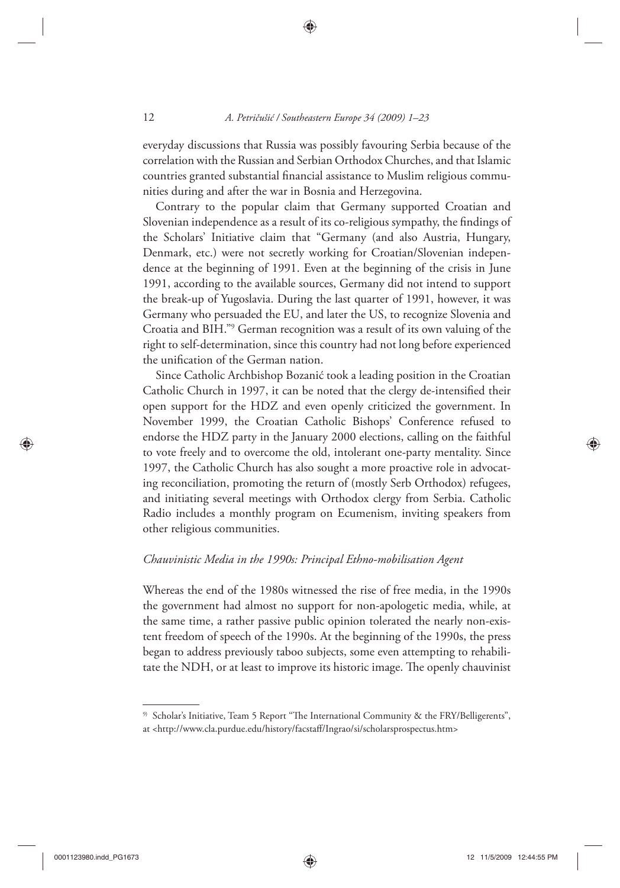⊕

everyday discussions that Russia was possibly favouring Serbia because of the correlation with the Russian and Serbian Orthodox Churches, and that Islamic countries granted substantial financial assistance to Muslim religious communities during and after the war in Bosnia and Herzegovina.

 Contrary to the popular claim that Germany supported Croatian and Slovenian independence as a result of its co-religious sympathy, the findings of the Scholars' Initiative claim that "Germany (and also Austria, Hungary, Denmark, etc.) were not secretly working for Croatian/Slovenian independence at the beginning of 1991. Even at the beginning of the crisis in June 1991, according to the available sources, Germany did not intend to support the break-up of Yugoslavia. During the last quarter of 1991, however, it was Germany who persuaded the EU, and later the US, to recognize Slovenia and Croatia and BIH."<sup>9</sup> German recognition was a result of its own valuing of the right to self-determination, since this country had not long before experienced the unification of the German nation.

 Since Catholic Archbishop Bozanić took a leading position in the Croatian Catholic Church in 1997, it can be noted that the clergy de-intensified their open support for the HDZ and even openly criticized the government. In November 1999, the Croatian Catholic Bishops' Conference refused to endorse the HDZ party in the January 2000 elections, calling on the faithful to vote freely and to overcome the old, intolerant one-party mentality. Since 1997, the Catholic Church has also sought a more proactive role in advocating reconciliation, promoting the return of (mostly Serb Orthodox) refugees, and initiating several meetings with Orthodox clergy from Serbia. Catholic Radio includes a monthly program on Ecumenism, inviting speakers from other religious communities.

#### *Chauvinistic Media in the 1990s: Principal Ethno-mobilisation Agent*

 Whereas the end of the 1980s witnessed the rise of free media, in the 1990s the government had almost no support for non-apologetic media, while, at the same time, a rather passive public opinion tolerated the nearly non-existent freedom of speech of the 1990s. At the beginning of the 1990s, the press began to address previously taboo subjects, some even attempting to rehabilitate the NDH, or at least to improve its historic image. The openly chauvinist

<sup>&</sup>lt;sup>9)</sup> Scholar's Initiative, Team 5 Report "The International Community & the FRY/Belligerents", at <http://www.cla.purdue.edu/history/facstaff/Ingrao/si/scholarsprospectus.htm>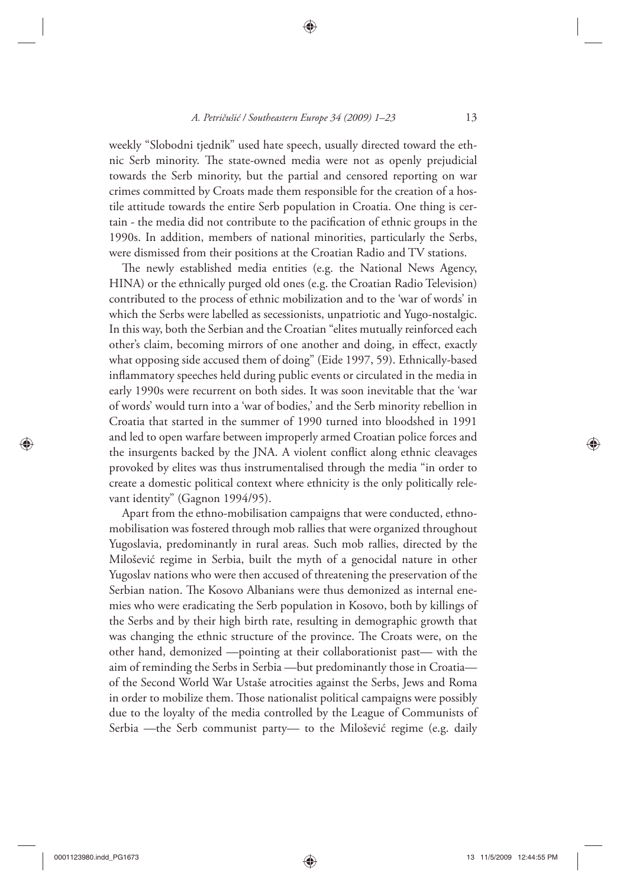weekly "Slobodni tjednik" used hate speech, usually directed toward the ethnic Serb minority. The state-owned media were not as openly prejudicial towards the Serb minority, but the partial and censored reporting on war crimes committed by Croats made them responsible for the creation of a hostile attitude towards the entire Serb population in Croatia. One thing is certain - the media did not contribute to the pacification of ethnic groups in the 1990s. In addition, members of national minorities, particularly the Serbs, were dismissed from their positions at the Croatian Radio and TV stations.

The newly established media entities (e.g. the National News Agency, HINA) or the ethnically purged old ones (e.g. the Croatian Radio Television) contributed to the process of ethnic mobilization and to the 'war of words' in which the Serbs were labelled as secessionists, unpatriotic and Yugo-nostalgic. In this way, both the Serbian and the Croatian "elites mutually reinforced each other's claim, becoming mirrors of one another and doing, in effect, exactly what opposing side accused them of doing" (Eide 1997, 59). Ethnically-based inflammatory speeches held during public events or circulated in the media in early 1990s were recurrent on both sides. It was soon inevitable that the 'war of words' would turn into a 'war of bodies,' and the Serb minority rebellion in Croatia that started in the summer of 1990 turned into bloodshed in 1991 and led to open warfare between improperly armed Croatian police forces and the insurgents backed by the JNA. A violent conflict along ethnic cleavages provoked by elites was thus instrumentalised through the media "in order to create a domestic political context where ethnicity is the only politically relevant identity" (Gagnon 1994/95).

 Apart from the ethno-mobilisation campaigns that were conducted, ethnomobilisation was fostered through mob rallies that were organized throughout Yugoslavia, predominantly in rural areas. Such mob rallies, directed by the Milošević regime in Serbia, built the myth of a genocidal nature in other Yugoslav nations who were then accused of threatening the preservation of the Serbian nation. The Kosovo Albanians were thus demonized as internal enemies who were eradicating the Serb population in Kosovo, both by killings of the Serbs and by their high birth rate, resulting in demographic growth that was changing the ethnic structure of the province. The Croats were, on the other hand, demonized —pointing at their collaborationist past— with the aim of reminding the Serbs in Serbia —but predominantly those in Croatia of the Second World War Ustaše atrocities against the Serbs, Jews and Roma in order to mobilize them. Those nationalist political campaigns were possibly due to the loyalty of the media controlled by the League of Communists of Serbia —the Serb communist party— to the Milošević regime (e.g. daily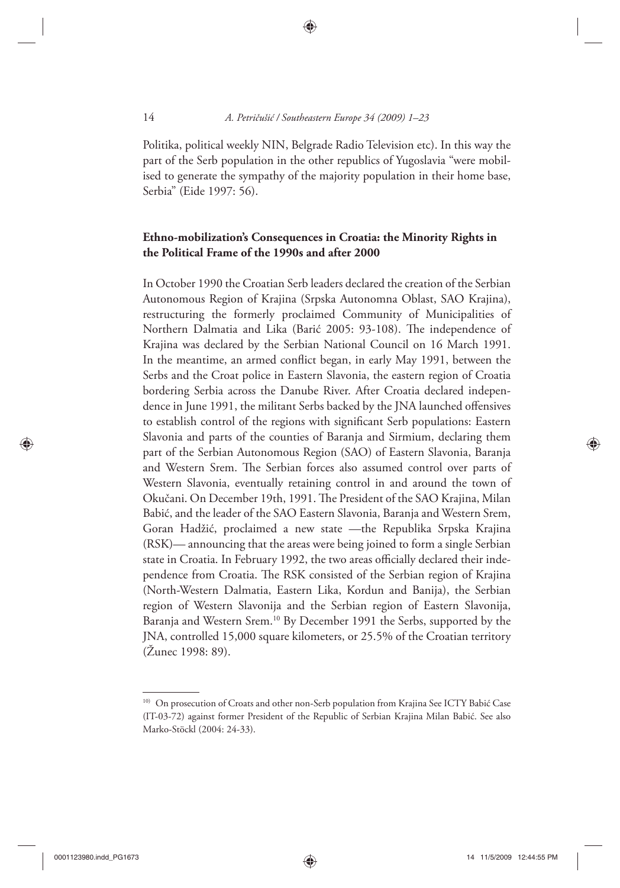⊕

Politika, political weekly NIN, Belgrade Radio Television etc). In this way the part of the Serb population in the other republics of Yugoslavia "were mobilised to generate the sympathy of the majority population in their home base, Serbia" (Eide 1997: 56).

## **Ethno-mobilization's Consequences in Croatia: the Minority Rights in the Political Frame of the 1990s and after 2000**

 In October 1990 the Croatian Serb leaders declared the creation of the Serbian Autonomous Region of Krajina (Srpska Autonomna Oblast, SAO Krajina), restructuring the formerly proclaimed Community of Municipalities of Northern Dalmatia and Lika (Barić 2005: 93-108). The independence of Krajina was declared by the Serbian National Council on 16 March 1991. In the meantime, an armed conflict began, in early May 1991, between the Serbs and the Croat police in Eastern Slavonia, the eastern region of Croatia bordering Serbia across the Danube River. After Croatia declared independence in June 1991, the militant Serbs backed by the JNA launched offensives to establish control of the regions with significant Serb populations: Eastern Slavonia and parts of the counties of Baranja and Sirmium, declaring them part of the Serbian Autonomous Region (SAO) of Eastern Slavonia, Baranja and Western Srem. The Serbian forces also assumed control over parts of Western Slavonia, eventually retaining control in and around the town of Okučani. On December 19th, 1991. The President of the SAO Krajina, Milan Babić, and the leader of the SAO Eastern Slavonia, Baranja and Western Srem, Goran Hadžić, proclaimed a new state —the Republika Srpska Krajina (RSK)— announcing that the areas were being joined to form a single Serbian state in Croatia. In February 1992, the two areas officially declared their independence from Croatia. The RSK consisted of the Serbian region of Krajina (North-Western Dalmatia, Eastern Lika, Kordun and Banija), the Serbian region of Western Slavonija and the Serbian region of Eastern Slavonija, Baranja and Western Srem.<sup>10</sup> By December 1991 the Serbs, supported by the JNA, controlled 15,000 square kilometers, or 25.5% of the Croatian territory  $(Z$ unec 1998: 89).

◈

<sup>&</sup>lt;sup>10)</sup> On prosecution of Croats and other non-Serb population from Krajina See ICTY Babić Case (IT-03-72) against former President of the Republic of Serbian Krajina Milan Babić. See also Marko-Stöckl (2004: 24-33).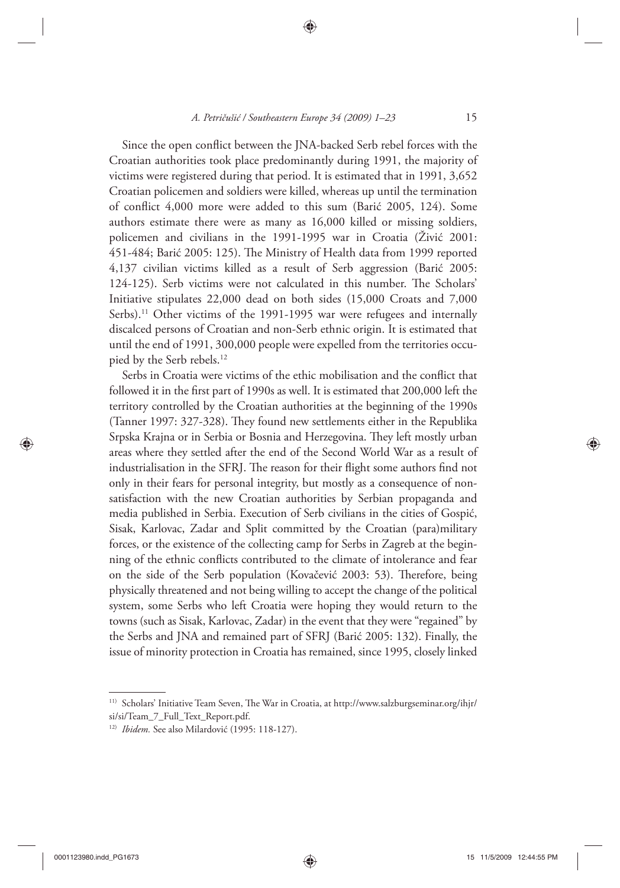Since the open conflict between the JNA-backed Serb rebel forces with the Croatian authorities took place predominantly during 1991, the majority of victims were registered during that period. It is estimated that in 1991, 3,652 Croatian policemen and soldiers were killed, whereas up until the termination of conflict 4,000 more were added to this sum (Barić 2005, 124). Some authors estimate there were as many as 16,000 killed or missing soldiers, policemen and civilians in the 1991-1995 war in Croatia (Živić 2001: 451-484; Barić 2005: 125). The Ministry of Health data from 1999 reported 4,137 civilian victims killed as a result of Serb aggression (Barić 2005:  $124-125$ ). Serb victims were not calculated in this number. The Scholars' Initiative stipulates 22,000 dead on both sides (15,000 Croats and 7,000 Serbs).<sup>11</sup> Other victims of the 1991-1995 war were refugees and internally discalced persons of Croatian and non-Serb ethnic origin. It is estimated that until the end of 1991, 300,000 people were expelled from the territories occupied by the Serb rebels. 12

Serbs in Croatia were victims of the ethic mobilisation and the conflict that followed it in the first part of 1990s as well. It is estimated that 200,000 left the territory controlled by the Croatian authorities at the beginning of the 1990s (Tanner 1997: 327-328). They found new settlements either in the Republika Srpska Krajna or in Serbia or Bosnia and Herzegovina. They left mostly urban areas where they settled after the end of the Second World War as a result of industrialisation in the SFRJ. The reason for their flight some authors find not only in their fears for personal integrity, but mostly as a consequence of nonsatisfaction with the new Croatian authorities by Serbian propaganda and media published in Serbia. Execution of Serb civilians in the cities of Gospić, Sisak, Karlovac, Zadar and Split committed by the Croatian (para)military forces, or the existence of the collecting camp for Serbs in Zagreb at the beginning of the ethnic conflicts contributed to the climate of intolerance and fear on the side of the Serb population (Kovačević 2003: 53). Therefore, being physically threatened and not being willing to accept the change of the political system, some Serbs who left Croatia were hoping they would return to the towns (such as Sisak, Karlovac, Zadar) in the event that they were "regained" by the Serbs and JNA and remained part of SFRJ (Barić 2005: 132). Finally, the issue of minority protection in Croatia has remained, since 1995, closely linked

<sup>&</sup>lt;sup>11)</sup> Scholars' Initiative Team Seven, The War in Croatia, at http://www.salzburgseminar.org/ihjr/ si/si/Team\_7\_Full\_Text\_Report.pdf.

<sup>&</sup>lt;sup>12)</sup> *Ibidem.* See also Milardović (1995: 118-127).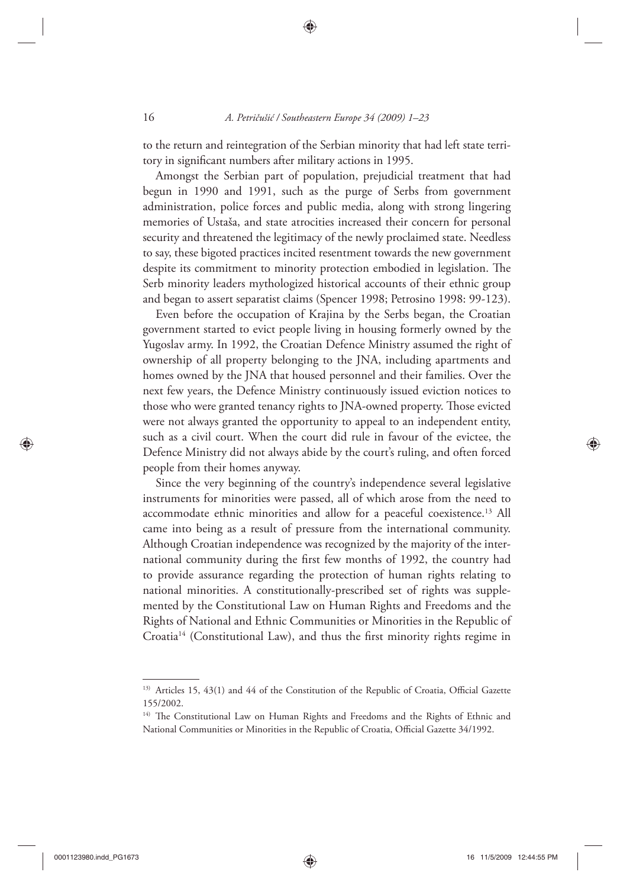⊕

to the return and reintegration of the Serbian minority that had left state territory in significant numbers after military actions in 1995.

 Amongst the Serbian part of population, prejudicial treatment that had begun in 1990 and 1991, such as the purge of Serbs from government administration, police forces and public media, along with strong lingering memories of Ustaša, and state atrocities increased their concern for personal security and threatened the legitimacy of the newly proclaimed state. Needless to say, these bigoted practices incited resentment towards the new government despite its commitment to minority protection embodied in legislation. The Serb minority leaders mythologized historical accounts of their ethnic group and began to assert separatist claims (Spencer 1998; Petrosino 1998: 99-123).

 Even before the occupation of Krajina by the Serbs began, the Croatian government started to evict people living in housing formerly owned by the Yugoslav army. In 1992, the Croatian Defence Ministry assumed the right of ownership of all property belonging to the JNA, including apartments and homes owned by the JNA that housed personnel and their families. Over the next few years, the Defence Ministry continuously issued eviction notices to those who were granted tenancy rights to JNA-owned property. Those evicted were not always granted the opportunity to appeal to an independent entity, such as a civil court. When the court did rule in favour of the evictee, the Defence Ministry did not always abide by the court's ruling, and often forced people from their homes anyway.

 Since the very beginning of the country's independence several legislative instruments for minorities were passed, all of which arose from the need to accommodate ethnic minorities and allow for a peaceful coexistence. 13 All came into being as a result of pressure from the international community. Although Croatian independence was recognized by the majority of the international community during the first few months of 1992, the country had to provide assurance regarding the protection of human rights relating to national minorities. A constitutionally-prescribed set of rights was supplemented by the Constitutional Law on Human Rights and Freedoms and the Rights of National and Ethnic Communities or Minorities in the Republic of Croatia<sup>14</sup> (Constitutional Law), and thus the first minority rights regime in

◈

<sup>&</sup>lt;sup>13)</sup> Articles 15, 43(1) and 44 of the Constitution of the Republic of Croatia, Official Gazette 155/2002.

<sup>&</sup>lt;sup>14)</sup> The Constitutional Law on Human Rights and Freedoms and the Rights of Ethnic and National Communities or Minorities in the Republic of Croatia, Official Gazette 34/1992.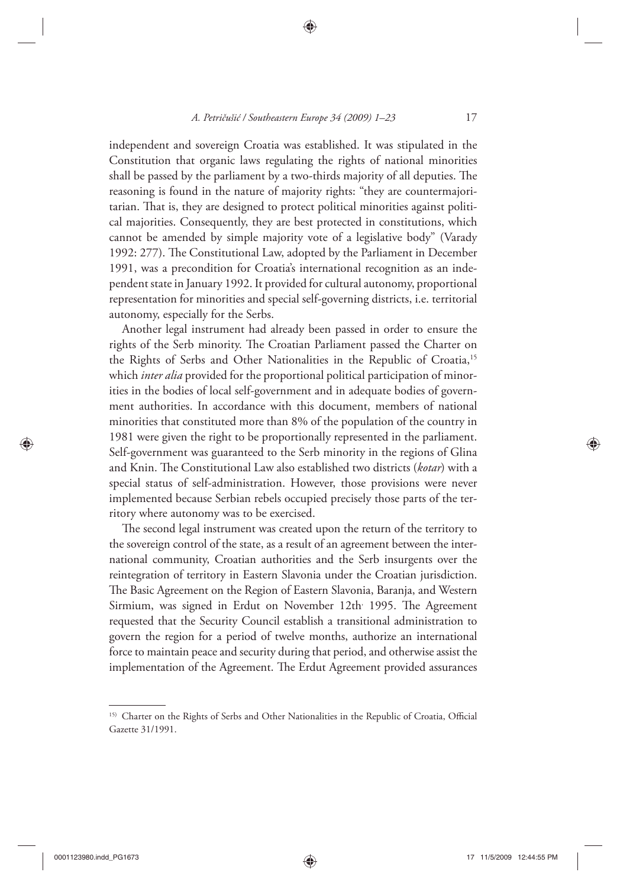independent and sovereign Croatia was established. It was stipulated in the Constitution that organic laws regulating the rights of national minorities shall be passed by the parliament by a two-thirds majority of all deputies. The reasoning is found in the nature of majority rights: "they are countermajoritarian. That is, they are designed to protect political minorities against political majorities. Consequently, they are best protected in constitutions, which cannot be amended by simple majority vote of a legislative body" (Varady 1992: 277). The Constitutional Law, adopted by the Parliament in December 1991, was a precondition for Croatia's international recognition as an independent state in January 1992. It provided for cultural autonomy, proportional representation for minorities and special self-governing districts, i.e. territorial autonomy, especially for the Serbs.

 Another legal instrument had already been passed in order to ensure the rights of the Serb minority. The Croatian Parliament passed the Charter on the Rights of Serbs and Other Nationalities in the Republic of Croatia, 15 which *inter alia* provided for the proportional political participation of minorities in the bodies of local self-government and in adequate bodies of government authorities. In accordance with this document, members of national minorities that constituted more than 8% of the population of the country in 1981 were given the right to be proportionally represented in the parliament. Self-government was guaranteed to the Serb minority in the regions of Glina and Knin. The Constitutional Law also established two districts (kotar) with a special status of self-administration. However, those provisions were never implemented because Serbian rebels occupied precisely those parts of the territory where autonomy was to be exercised.

The second legal instrument was created upon the return of the territory to the sovereign control of the state, as a result of an agreement between the international community, Croatian authorities and the Serb insurgents over the reintegration of territory in Eastern Slavonia under the Croatian jurisdiction. The Basic Agreement on the Region of Eastern Slavonia, Baranja, and Western Sirmium, was signed in Erdut on November 12th<sup>,</sup> 1995. The Agreement requested that the Security Council establish a transitional administration to govern the region for a period of twelve months, authorize an international force to maintain peace and security during that period, and otherwise assist the implementation of the Agreement. The Erdut Agreement provided assurances

<sup>&</sup>lt;sup>15)</sup> Charter on the Rights of Serbs and Other Nationalities in the Republic of Croatia, Official Gazette 31/1991.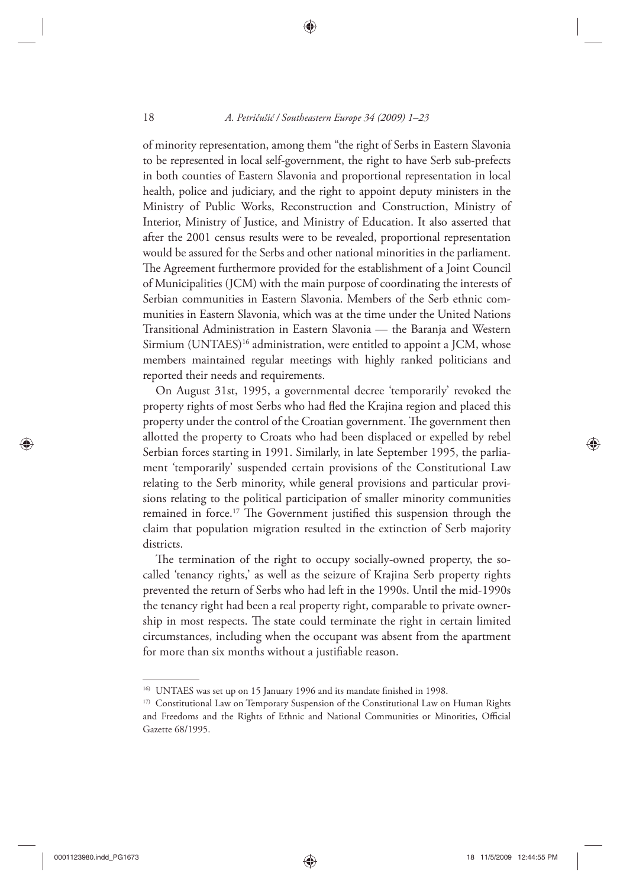⊕

of minority representation, among them "the right of Serbs in Eastern Slavonia to be represented in local self-government, the right to have Serb sub-prefects in both counties of Eastern Slavonia and proportional representation in local health, police and judiciary, and the right to appoint deputy ministers in the Ministry of Public Works, Reconstruction and Construction, Ministry of Interior, Ministry of Justice, and Ministry of Education. It also asserted that after the 2001 census results were to be revealed, proportional representation would be assured for the Serbs and other national minorities in the parliament. The Agreement furthermore provided for the establishment of a Joint Council of Municipalities (JCM) with the main purpose of coordinating the interests of Serbian communities in Eastern Slavonia. Members of the Serb ethnic communities in Eastern Slavonia, which was at the time under the United Nations Transitional Administration in Eastern Slavonia — the Baranja and Western Sirmium (UNTAES)<sup>16</sup> administration, were entitled to appoint a JCM, whose members maintained regular meetings with highly ranked politicians and reported their needs and requirements.

On August 31st, 1995, a governmental decree 'temporarily' revoked the property rights of most Serbs who had fled the Krajina region and placed this property under the control of the Croatian government. The government then allotted the property to Croats who had been displaced or expelled by rebel Serbian forces starting in 1991. Similarly, in late September 1995, the parliament 'temporarily' suspended certain provisions of the Constitutional Law relating to the Serb minority, while general provisions and particular provisions relating to the political participation of smaller minority communities remained in force.<sup>17</sup> The Government justified this suspension through the claim that population migration resulted in the extinction of Serb majority districts.

The termination of the right to occupy socially-owned property, the socalled 'tenancy rights,' as well as the seizure of Krajina Serb property rights prevented the return of Serbs who had left in the 1990s. Until the mid-1990s the tenancy right had been a real property right, comparable to private ownership in most respects. The state could terminate the right in certain limited circumstances, including when the occupant was absent from the apartment for more than six months without a justifiable reason.

◈

⊕

<sup>&</sup>lt;sup>16</sup> UNTAES was set up on 15 January 1996 and its mandate finished in 1998.<br><sup>17)</sup> Constitutional Law on Temporary Suspension of the Constitutional Law on Human Rights and Freedoms and the Rights of Ethnic and National Communities or Minorities, Official Gazette 68/1995.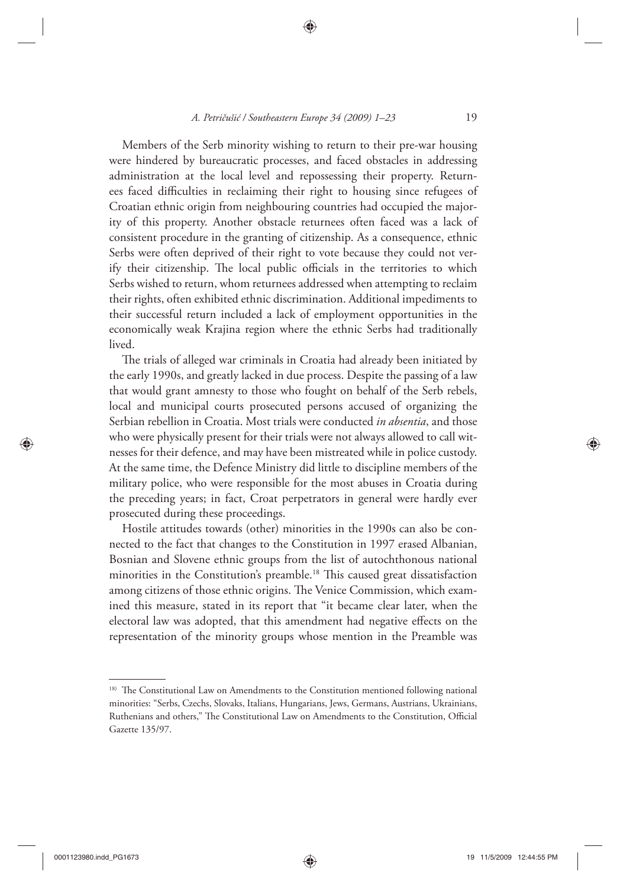⊕

 Members of the Serb minority wishing to return to their pre-war housing were hindered by bureaucratic processes, and faced obstacles in addressing administration at the local level and repossessing their property. Returnees faced difficulties in reclaiming their right to housing since refugees of Croatian ethnic origin from neighbouring countries had occupied the majority of this property. Another obstacle returnees often faced was a lack of consistent procedure in the granting of citizenship. As a consequence, ethnic Serbs were often deprived of their right to vote because they could not verify their citizenship. The local public officials in the territories to which Serbs wished to return, whom returnees addressed when attempting to reclaim their rights, often exhibited ethnic discrimination. Additional impediments to their successful return included a lack of employment opportunities in the economically weak Krajina region where the ethnic Serbs had traditionally lived.

The trials of alleged war criminals in Croatia had already been initiated by the early 1990s, and greatly lacked in due process. Despite the passing of a law that would grant amnesty to those who fought on behalf of the Serb rebels, local and municipal courts prosecuted persons accused of organizing the Serbian rebellion in Croatia. Most trials were conducted *in absentia* , and those who were physically present for their trials were not always allowed to call witnesses for their defence, and may have been mistreated while in police custody. At the same time, the Defence Ministry did little to discipline members of the military police, who were responsible for the most abuses in Croatia during the preceding years; in fact, Croat perpetrators in general were hardly ever prosecuted during these proceedings.

 Hostile attitudes towards (other) minorities in the 1990s can also be connected to the fact that changes to the Constitution in 1997 erased Albanian, Bosnian and Slovene ethnic groups from the list of autochthonous national minorities in the Constitution's preamble.<sup>18</sup> This caused great dissatisfaction among citizens of those ethnic origins. The Venice Commission, which examined this measure, stated in its report that "it became clear later, when the electoral law was adopted, that this amendment had negative effects on the representation of the minority groups whose mention in the Preamble was

<sup>&</sup>lt;sup>18)</sup> The Constitutional Law on Amendments to the Constitution mentioned following national minorities: "Serbs, Czechs, Slovaks, Italians, Hungarians, Jews, Germans, Austrians, Ukrainians, Ruthenians and others," The Constitutional Law on Amendments to the Constitution, Official Gazette 135/97.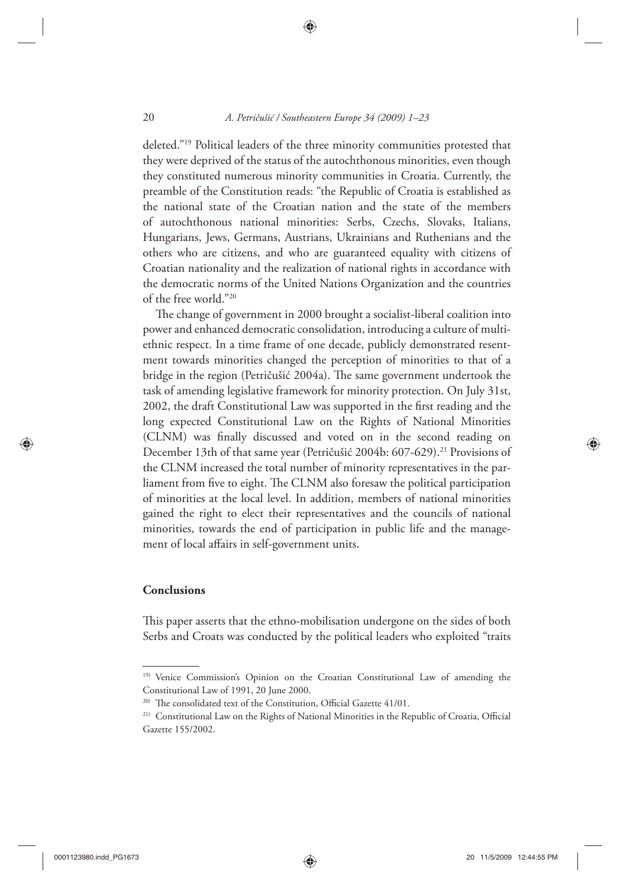⊕

deleted."<sup>19</sup> Political leaders of the three minority communities protested that they were deprived of the status of the autochthonous minorities, even though they constituted numerous minority communities in Croatia. Currently, the preamble of the Constitution reads: "the Republic of Croatia is established as the national state of the Croatian nation and the state of the members of autochthonous national minorities: Serbs, Czechs, Slovaks, Italians, Hungarians, Jews, Germans, Austrians, Ukrainians and Ruthenians and the others who are citizens, and who are guaranteed equality with citizens of Croatian nationality and the realization of national rights in accordance with the democratic norms of the United Nations Organization and the countries of the free world."<sup>20</sup>

The change of government in 2000 brought a socialist-liberal coalition into power and enhanced democratic consolidation, introducing a culture of multiethnic respect. In a time frame of one decade, publicly demonstrated resentment towards minorities changed the perception of minorities to that of a bridge in the region (Petričušić 2004a). The same government undertook the task of amending legislative framework for minority protection. On July 31st, 2002, the draft Constitutional Law was supported in the first reading and the long expected Constitutional Law on the Rights of National Minorities (CLNM) was finally discussed and voted on in the second reading on December 13th of that same year (Petričušić 2004b: 607-629).<sup>21</sup> Provisions of the CLNM increased the total number of minority representatives in the parliament from five to eight. The CLNM also foresaw the political participation of minorities at the local level. In addition, members of national minorities gained the right to elect their representatives and the councils of national minorities, towards the end of participation in public life and the management of local affairs in self-government units.

#### **Conclusions**

This paper asserts that the ethno-mobilisation undergone on the sides of both Serbs and Croats was conducted by the political leaders who exploited "traits

<sup>&</sup>lt;sup>19)</sup> Venice Commission's Opinion on the Croatian Constitutional Law of amending the Constitutional Law of 1991, 20 June 2000.

<sup>&</sup>lt;sup>20)</sup> The consolidated text of the Constitution, Official Gazette 41/01.<br><sup>21)</sup> Constitutional Law on the Rights of National Minorities in the Republic of Croatia, Official Gazette 155/2002.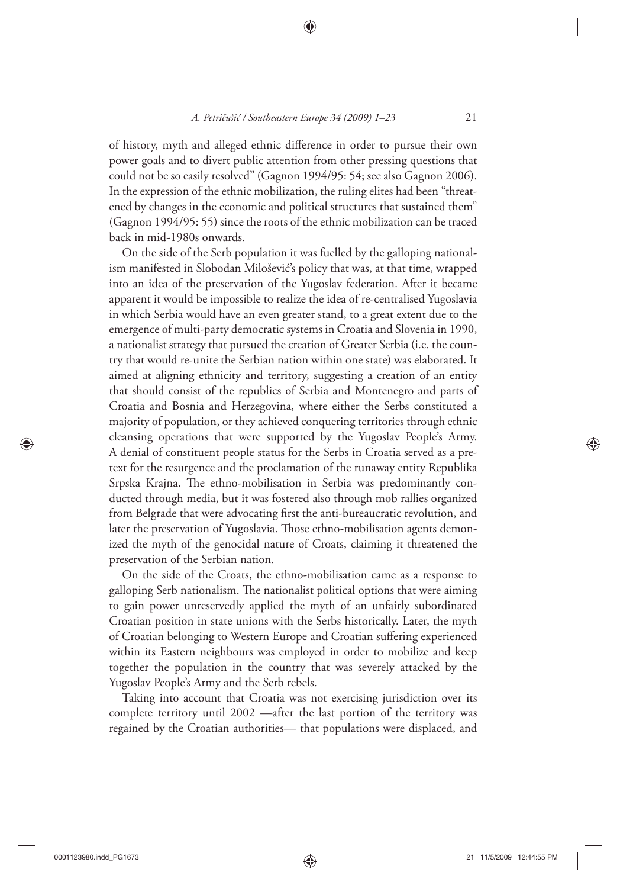of history, myth and alleged ethnic difference in order to pursue their own power goals and to divert public attention from other pressing questions that could not be so easily resolved" (Gagnon 1994/95: 54; see also Gagnon 2006). In the expression of the ethnic mobilization, the ruling elites had been "threatened by changes in the economic and political structures that sustained them" (Gagnon 1994/95: 55) since the roots of the ethnic mobilization can be traced back in mid-1980s onwards.

 On the side of the Serb population it was fuelled by the galloping nationalism manifested in Slobodan Milošević's policy that was, at that time, wrapped into an idea of the preservation of the Yugoslav federation. After it became apparent it would be impossible to realize the idea of re-centralised Yugoslavia in which Serbia would have an even greater stand, to a great extent due to the emergence of multi-party democratic systems in Croatia and Slovenia in 1990, a nationalist strategy that pursued the creation of Greater Serbia (i.e. the country that would re-unite the Serbian nation within one state) was elaborated. It aimed at aligning ethnicity and territory, suggesting a creation of an entity that should consist of the republics of Serbia and Montenegro and parts of Croatia and Bosnia and Herzegovina, where either the Serbs constituted a majority of population, or they achieved conquering territories through ethnic cleansing operations that were supported by the Yugoslav People's Army. A denial of constituent people status for the Serbs in Croatia served as a pretext for the resurgence and the proclamation of the runaway entity Republika Srpska Krajna. The ethno-mobilisation in Serbia was predominantly conducted through media, but it was fostered also through mob rallies organized from Belgrade that were advocating first the anti-bureaucratic revolution, and later the preservation of Yugoslavia. Those ethno-mobilisation agents demonized the myth of the genocidal nature of Croats, claiming it threatened the preservation of the Serbian nation.

 On the side of the Croats, the ethno-mobilisation came as a response to galloping Serb nationalism. The nationalist political options that were aiming to gain power unreservedly applied the myth of an unfairly subordinated Croatian position in state unions with the Serbs historically. Later, the myth of Croatian belonging to Western Europe and Croatian suffering experienced within its Eastern neighbours was employed in order to mobilize and keep together the population in the country that was severely attacked by the Yugoslav People's Army and the Serb rebels.

 Taking into account that Croatia was not exercising jurisdiction over its complete territory until 2002 —after the last portion of the territory was regained by the Croatian authorities— that populations were displaced, and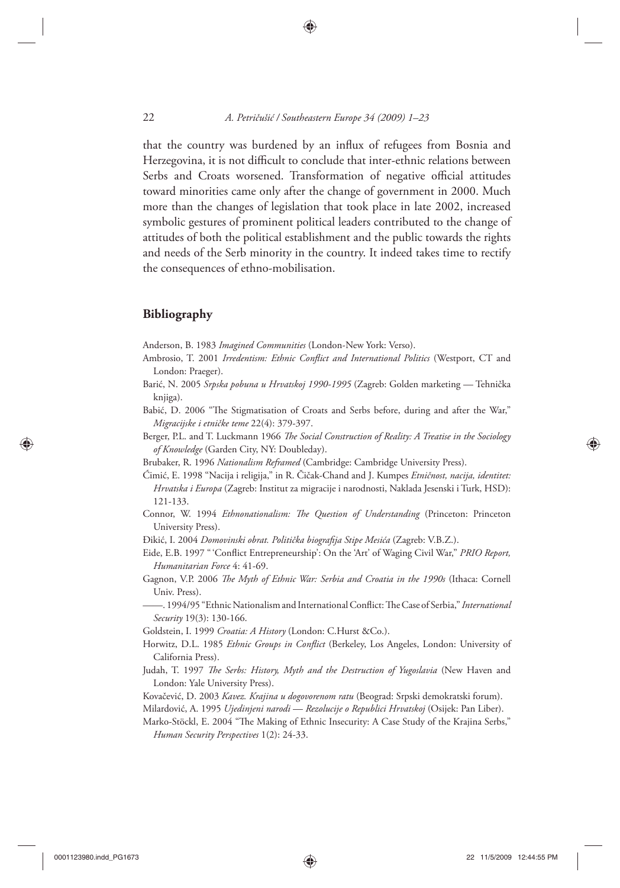that the country was burdened by an influx of refugees from Bosnia and Herzegovina, it is not difficult to conclude that inter-ethnic relations between Serbs and Croats worsened. Transformation of negative official attitudes toward minorities came only after the change of government in 2000. Much more than the changes of legislation that took place in late 2002, increased symbolic gestures of prominent political leaders contributed to the change of attitudes of both the political establishment and the public towards the rights and needs of the Serb minority in the country. It indeed takes time to rectify the consequences of ethno-mobilisation.

## **Bibliography**

Anderson, B. 1983 *Imagined Communities* (London-New York: Verso).

- Ambrosio, T. 2001 *Irredentism: Ethnic Conflict and International Politics* (Westport, CT and London: Praeger).
- Barić, N. 2005 Srpska pobuna u Hrvatskoj 1990-1995 (Zagreb: Golden marketing Tehnička knjiga).
- Babić, D. 2006 "The Stigmatisation of Croats and Serbs before, during and after the War," *Migracijske i etničke teme* 22 (4) : 379 - 397 .
- Berger, P.L. and T. Luckmann 1966 *The Social Construction of Reality: A Treatise in the Sociology* of Knowledge (Garden City, NY: Doubleday).
- Brubaker, R. 1996 *Nationalism Reframed* (Cambridge: Cambridge University Press).
- Ćimić , E. 1998 "Nacija i religija," in R. Čičak-Chand and J. Kumpes *Etničnost, nacija, identitet: Hrvatska i Europa* (Zagreb: Institut za migracije i narodnosti, Naklada Jesenski i Turk, HSD): 121 - 133.
- Connor, W. 1994 *Ethnonationalism: The Question of Understanding* (Princeton: Princeton University Press).
- Đikić, I. 2004 *Domovinski obrat. Politička biografija Stipe Mesića* (Zagreb: V.B.Z.).
- Eide, E.B. 1997 "'Conflict Entrepreneurship': On the 'Art' of Waging Civil War," PRIO Report, *Humanitarian Force* 4: 41-69.
- Gagnon, V.P. 2006 *The Myth of Ethnic War: Serbia and Croatia in the 1990s* (Ithaca: Cornell Univ. Press).
- ——. 1994/95 "Ethnic Nationalism and International Confl ict: Th e Case of Serbia," *International*  Security 19(3): 130-166.
- Goldstein, I. 1999 *Croatia: A History* (London: C.Hurst &Co.).
- Horwitz, D.L. 1985 *Ethnic Groups in Conflict* (Berkeley, Los Angeles, London: University of California Press).
- Judah, T. 1997 *The Serbs: History, Myth and the Destruction of Yugoslavia* (New Haven and London: Yale University Press).
- Kovačević, D. 2003 *Kavez. Krajina u dogovorenom ratu* (Beograd: Srpski demokratski forum).
- Milardović , A. 1995 *Ujedinjeni narodi* — *Rezolucije o Republici Hrvatskoj* ( Osijek : Pan Liber ).
- Marko-Stöckl, E. 2004 "The Making of Ethnic Insecurity: A Case Study of the Krajina Serbs," *Human Security Perspectives* 1(2): 24-33.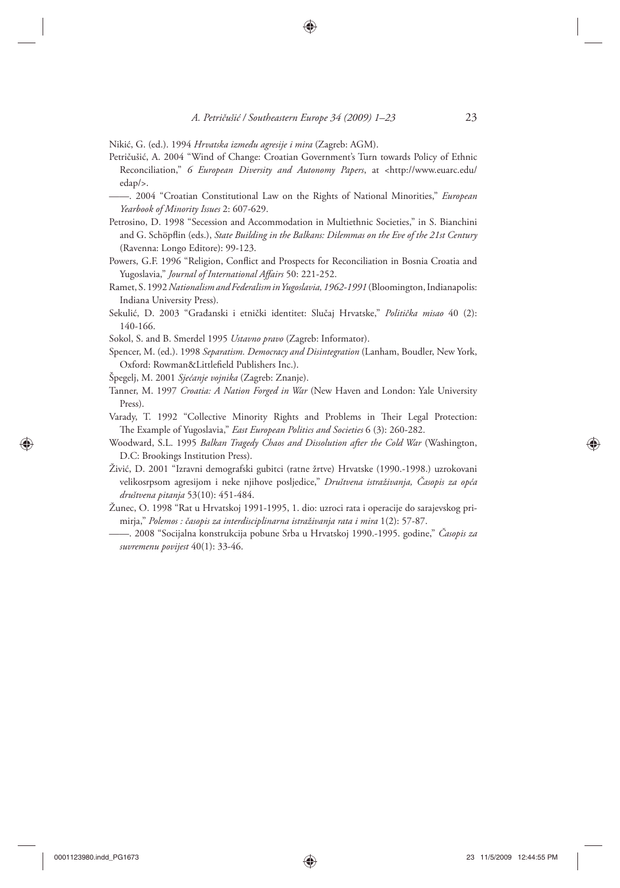Nikić, G. (ed.). 1994 *Hrvatska između agresije i mira* (Zagreb: AGM).

- Petričušić , A. 2004 "Wind of Change: Croatian Government's Turn towards Policy of Ethnic Reconciliation," *6 European Diversity and Autonomy Papers* , at < http://www.euarc.edu/ edap/>.
- ——. 2004 "Croatian Constitutional Law on the Rights of National Minorities," *European*  Yearbook of Minority Issues 2: 607-629.
- Petrosino, D. 1998 "Secession and Accommodation in Multiethnic Societies," in S. Bianchini and G. Schöpflin (eds.), *State Building in the Balkans: Dilemmas on the Eve of the 21st Century* (Ravenna: Longo Editore): 99-123.
- Powers, G.F. 1996 "Religion, Conflict and Prospects for Reconciliation in Bosnia Croatia and Yugoslavia," *Journal of International Affairs* 50: 221-252.
- Ramet, S. 1992 *Nationalism and Federalism in Yugoslavia*, 1962-1991 (Bloomington, Indianapolis: Indiana University Press).
- Sekulić , D. 2003 "Građanski i etnički identitet: Slučaj Hrvatske," *Politička misao* 40 (2) : 140 - 166.
- Sokol, S. and B. Smerdel 1995 *Ustavno pravo* (Zagreb: Informator).
- Spencer , M. (ed.). 1998 *Separatism. Democracy and Disintegration* ( Lanham, Boudler, New York, Oxford: Rowman&Littlefield Publishers Inc.).
- Špegelj, M. 2001 *Sjećanje vojnika* (Zagreb: Znanje).
- Tanner, M. 1997 *Croatia: A Nation Forged in War* (New Haven and London: Yale University Press).
- Varady, T. 1992 "Collective Minority Rights and Problems in Their Legal Protection: The Example of Yugoslavia," *East European Politics and Societies* 6 (3): 260-282.
- Woodward, S.L. 1995 *Balkan Tragedy Chaos and Dissolution after the Cold War* (Washington, D.C: Brookings Institution Press).
- Živić, D. 2001 "Izravni demografski gubitci (ratne žrtve) Hrvatske (1990.-1998.) uzrokovani velikosrpsom agresijom i neke njihove posljedice," *Društvena istraživanja, Časopis za opća društvena pitanja* 53 (10) : 451 - 484 .
- Žunec, O. 1998 "Rat u Hrvatskoj 1991-1995, 1. dio: uzroci rata i operacije do sarajevskog primirja," *Polemos : časopis za interdisciplinarna istraživanja rata i mira* 1 (2) : 57 - 87 .
- ——. 2008 "Socijalna konstrukcija pobune Srba u Hrvatskoj 1990.-1995. godine," *Časopis za*  suvremenu povijest 40(1): 33-46.